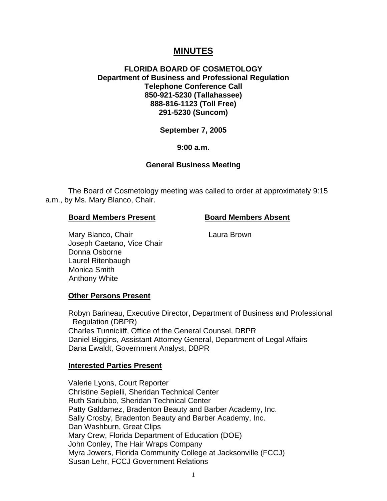# **MINUTES**

## **FLORIDA BOARD OF COSMETOLOGY Department of Business and Professional Regulation Telephone Conference Call 850-921-5230 (Tallahassee) 888-816-1123 (Toll Free) 291-5230 (Suncom)**

# **September 7, 2005**

## **9:00 a.m.**

## **General Business Meeting**

The Board of Cosmetology meeting was called to order at approximately 9:15 a.m., by Ms. Mary Blanco, Chair.

## **Board Members Present Board Members Absent**

Mary Blanco, Chair **Laura Brown** Joseph Caetano, Vice Chair Donna Osborne Laurel Ritenbaugh Monica Smith Anthony White

## **Other Persons Present**

Robyn Barineau, Executive Director, Department of Business and Professional Regulation (DBPR) Charles Tunnicliff, Office of the General Counsel, DBPR Daniel Biggins, Assistant Attorney General, Department of Legal Affairs Dana Ewaldt, Government Analyst, DBPR

### **Interested Parties Present**

Valerie Lyons, Court Reporter Christine Sepielli, Sheridan Technical Center Ruth Sariubbo, Sheridan Technical Center Patty Galdamez, Bradenton Beauty and Barber Academy, Inc. Sally Crosby, Bradenton Beauty and Barber Academy, Inc. Dan Washburn, Great Clips Mary Crew, Florida Department of Education (DOE) John Conley, The Hair Wraps Company Myra Jowers, Florida Community College at Jacksonville (FCCJ) Susan Lehr, FCCJ Government Relations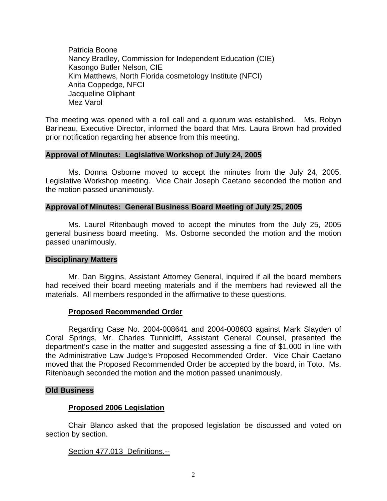Patricia Boone Nancy Bradley, Commission for Independent Education (CIE) Kasongo Butler Nelson, CIE Kim Matthews, North Florida cosmetology Institute (NFCI) Anita Coppedge, NFCI Jacqueline Oliphant Mez Varol

The meeting was opened with a roll call and a quorum was established. Ms. Robyn Barineau, Executive Director, informed the board that Mrs. Laura Brown had provided prior notification regarding her absence from this meeting.

## **Approval of Minutes: Legislative Workshop of July 24, 2005**

Ms. Donna Osborne moved to accept the minutes from the July 24, 2005, Legislative Workshop meeting. Vice Chair Joseph Caetano seconded the motion and the motion passed unanimously.

## **Approval of Minutes: General Business Board Meeting of July 25, 2005**

Ms. Laurel Ritenbaugh moved to accept the minutes from the July 25, 2005 general business board meeting. Ms. Osborne seconded the motion and the motion passed unanimously.

### **Disciplinary Matters**

Mr. Dan Biggins, Assistant Attorney General, inquired if all the board members had received their board meeting materials and if the members had reviewed all the materials. All members responded in the affirmative to these questions.

## **Proposed Recommended Order**

Regarding Case No. 2004-008641 and 2004-008603 against Mark Slayden of Coral Springs, Mr. Charles Tunnicliff, Assistant General Counsel, presented the department's case in the matter and suggested assessing a fine of \$1,000 in line with the Administrative Law Judge's Proposed Recommended Order. Vice Chair Caetano moved that the Proposed Recommended Order be accepted by the board, in Toto. Ms. Ritenbaugh seconded the motion and the motion passed unanimously.

### **Old Business**

## **Proposed 2006 Legislation**

Chair Blanco asked that the proposed legislation be discussed and voted on section by section.

## Section 477.013 Definitions.--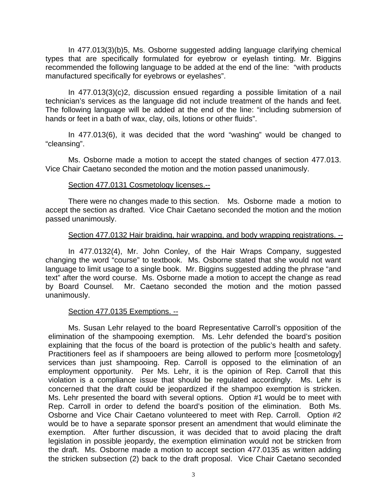In 477.013(3)(b)5, Ms. Osborne suggested adding language clarifying chemical types that are specifically formulated for eyebrow or eyelash tinting. Mr. Biggins recommended the following language to be added at the end of the line: "with products manufactured specifically for eyebrows or eyelashes".

In 477.013(3)(c)2, discussion ensued regarding a possible limitation of a nail technician's services as the language did not include treatment of the hands and feet. The following language will be added at the end of the line: "including submersion of hands or feet in a bath of wax, clay, oils, lotions or other fluids".

In 477.013(6), it was decided that the word "washing" would be changed to "cleansing".

Ms. Osborne made a motion to accept the stated changes of section 477.013. Vice Chair Caetano seconded the motion and the motion passed unanimously.

## Section 477.0131 Cosmetology licenses.--

There were no changes made to this section. Ms. Osborne made a motion to accept the section as drafted. Vice Chair Caetano seconded the motion and the motion passed unanimously.

## Section 477.0132 Hair braiding, hair wrapping, and body wrapping registrations. --

In 477.0132(4), Mr. John Conley, of the Hair Wraps Company, suggested changing the word "course" to textbook. Ms. Osborne stated that she would not want language to limit usage to a single book. Mr. Biggins suggested adding the phrase "and text" after the word course. Ms. Osborne made a motion to accept the change as read by Board Counsel. Mr. Caetano seconded the motion and the motion passed unanimously.

## Section 477.0135 Exemptions. --

Ms. Susan Lehr relayed to the board Representative Carroll's opposition of the elimination of the shampooing exemption. Ms. Lehr defended the board's position explaining that the focus of the board is protection of the public's health and safety. Practitioners feel as if shampooers are being allowed to perform more [cosmetology] services than just shampooing. Rep. Carroll is opposed to the elimination of an employment opportunity. Per Ms. Lehr, it is the opinion of Rep. Carroll that this violation is a compliance issue that should be regulated accordingly. Ms. Lehr is concerned that the draft could be jeopardized if the shampoo exemption is stricken. Ms. Lehr presented the board with several options. Option #1 would be to meet with Rep. Carroll in order to defend the board's position of the elimination. Both Ms. Osborne and Vice Chair Caetano volunteered to meet with Rep. Carroll. Option #2 would be to have a separate sponsor present an amendment that would eliminate the exemption. After further discussion, it was decided that to avoid placing the draft legislation in possible jeopardy, the exemption elimination would not be stricken from the draft. Ms. Osborne made a motion to accept section 477.0135 as written adding the stricken subsection (2) back to the draft proposal. Vice Chair Caetano seconded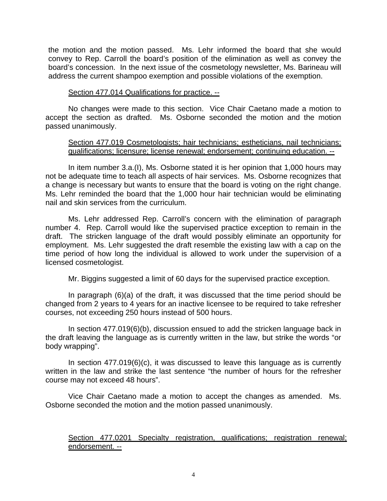the motion and the motion passed. Ms. Lehr informed the board that she would convey to Rep. Carroll the board's position of the elimination as well as convey the board's concession. In the next issue of the cosmetology newsletter, Ms. Barineau will address the current shampoo exemption and possible violations of the exemption.

## Section 477.014 Qualifications for practice. --

No changes were made to this section. Vice Chair Caetano made a motion to accept the section as drafted. Ms. Osborne seconded the motion and the motion passed unanimously.

## Section 477.019 Cosmetologists; hair technicians; estheticians, nail technicians; qualifications; licensure; license renewal; endorsement; continuing education. --

In item number 3.a.(I), Ms. Osborne stated it is her opinion that 1,000 hours may not be adequate time to teach all aspects of hair services. Ms. Osborne recognizes that a change is necessary but wants to ensure that the board is voting on the right change. Ms. Lehr reminded the board that the 1,000 hour hair technician would be eliminating nail and skin services from the curriculum.

Ms. Lehr addressed Rep. Carroll's concern with the elimination of paragraph number 4. Rep. Carroll would like the supervised practice exception to remain in the draft. The stricken language of the draft would possibly eliminate an opportunity for employment. Ms. Lehr suggested the draft resemble the existing law with a cap on the time period of how long the individual is allowed to work under the supervision of a licensed cosmetologist.

Mr. Biggins suggested a limit of 60 days for the supervised practice exception.

In paragraph (6)(a) of the draft, it was discussed that the time period should be changed from 2 years to 4 years for an inactive licensee to be required to take refresher courses, not exceeding 250 hours instead of 500 hours.

In section 477.019(6)(b), discussion ensued to add the stricken language back in the draft leaving the language as is currently written in the law, but strike the words "or body wrapping".

In section 477.019(6)(c), it was discussed to leave this language as is currently written in the law and strike the last sentence "the number of hours for the refresher course may not exceed 48 hours".

Vice Chair Caetano made a motion to accept the changes as amended. Ms. Osborne seconded the motion and the motion passed unanimously.

# Section 477.0201 Specialty registration, qualifications; registration renewal; endorsement. --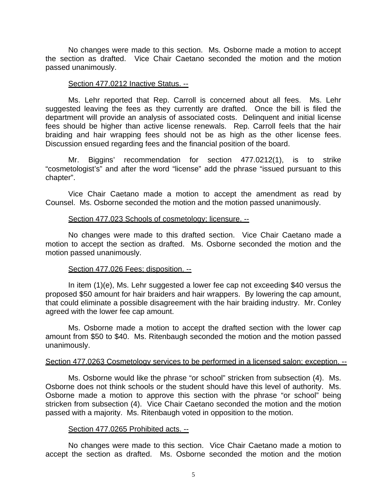No changes were made to this section. Ms. Osborne made a motion to accept the section as drafted. Vice Chair Caetano seconded the motion and the motion passed unanimously.

#### Section 477.0212 Inactive Status. --

Ms. Lehr reported that Rep. Carroll is concerned about all fees. Ms. Lehr suggested leaving the fees as they currently are drafted. Once the bill is filed the department will provide an analysis of associated costs. Delinquent and initial license fees should be higher than active license renewals. Rep. Carroll feels that the hair braiding and hair wrapping fees should not be as high as the other license fees. Discussion ensued regarding fees and the financial position of the board.

Mr. Biggins' recommendation for section 477.0212(1), is to strike "cosmetologist's" and after the word "license" add the phrase "issued pursuant to this chapter".

Vice Chair Caetano made a motion to accept the amendment as read by Counsel. Ms. Osborne seconded the motion and the motion passed unanimously.

### Section 477.023 Schools of cosmetology; licensure. --

No changes were made to this drafted section. Vice Chair Caetano made a motion to accept the section as drafted. Ms. Osborne seconded the motion and the motion passed unanimously.

### Section 477.026 Fees; disposition. --

In item (1)(e), Ms. Lehr suggested a lower fee cap not exceeding \$40 versus the proposed \$50 amount for hair braiders and hair wrappers. By lowering the cap amount, that could eliminate a possible disagreement with the hair braiding industry. Mr. Conley agreed with the lower fee cap amount.

Ms. Osborne made a motion to accept the drafted section with the lower cap amount from \$50 to \$40. Ms. Ritenbaugh seconded the motion and the motion passed unanimously.

#### Section 477.0263 Cosmetology services to be performed in a licensed salon; exception. --

Ms. Osborne would like the phrase "or school" stricken from subsection (4). Ms. Osborne does not think schools or the student should have this level of authority. Ms. Osborne made a motion to approve this section with the phrase "or school" being stricken from subsection (4). Vice Chair Caetano seconded the motion and the motion passed with a majority. Ms. Ritenbaugh voted in opposition to the motion.

### Section 477.0265 Prohibited acts. --

No changes were made to this section. Vice Chair Caetano made a motion to accept the section as drafted. Ms. Osborne seconded the motion and the motion